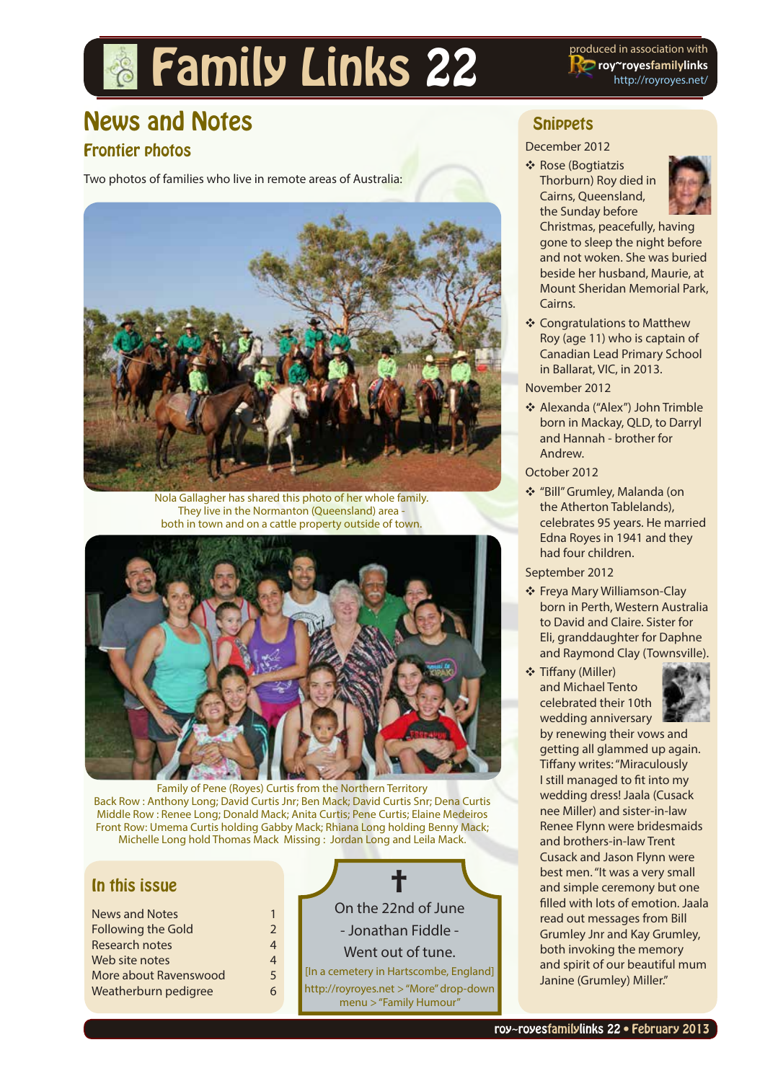# **Family Links 22** Produced in association with

**roy~royesfamilylinks** [http://royroyes.net/](http://royroyes.net/genealogy)

# News and Notes

## Frontier photos

Two photos of families who live in remote areas of Australia:



Nola Gallagher has shared this photo of her whole family. They live in the Normanton (Queensland) area both in town and on a cattle property outside of town.



Family of Pene (Royes) Curtis from the Northern Territory Back Row : Anthony Long; David Curtis Jnr; Ben Mack; David Curtis Snr; Dena Curtis Middle Row : Renee Long; Donald Mack; Anita Curtis; Pene Curtis; Elaine Medeiros Front Row: Umema Curtis holding Gabby Mack; Rhiana Long holding Benny Mack; Michelle Long hold Thomas Mack Missing : Jordan Long and Leila Mack.

#### In this issue

| 1             |
|---------------|
| $\mathcal{P}$ |
| 4             |
| 4             |
| 5             |
| 6             |
|               |



## **Snippets**

#### December 2012





Christmas, peacefully, having gone to sleep the night before and not woken. She was buried beside her husband, Maurie, at Mount Sheridan Memorial Park, Cairns.

Y Congratulations to Matthew Roy (age 11) who is captain of Canadian Lead Primary School in Ballarat, VIC, in 2013.

#### November 2012

◆ Alexanda ("Alex") John Trimble born in Mackay, QLD, to Darryl and Hannah - brother for Andrew.

#### October 2012

Y "Bill" Grumley, Malanda (on the Atherton Tablelands), celebrates 95 years. He married Edna Royes in 1941 and they had four children.

#### September 2012

- ❖ Freya Mary Williamson-Clay born in Perth, Western Australia to David and Claire. Sister for Eli, granddaughter for Daphne and Raymond Clay (Townsville).
- **❖ Tiffany (Miller)** and Michael Tento celebrated their 10th wedding anniversary



by renewing their vows and getting all glammed up again. Tiffany writes: "Miraculously I still managed to fit into my wedding dress! Jaala (Cusack nee Miller) and sister-in-law Renee Flynn were bridesmaids and brothers-in-law Trent Cusack and Jason Flynn were best men. "It was a very small and simple ceremony but one filled with lots of emotion. Jaala read out messages from Bill Grumley Jnr and Kay Grumley, both invoking the memory and spirit of our beautiful mum Janine (Grumley) Miller."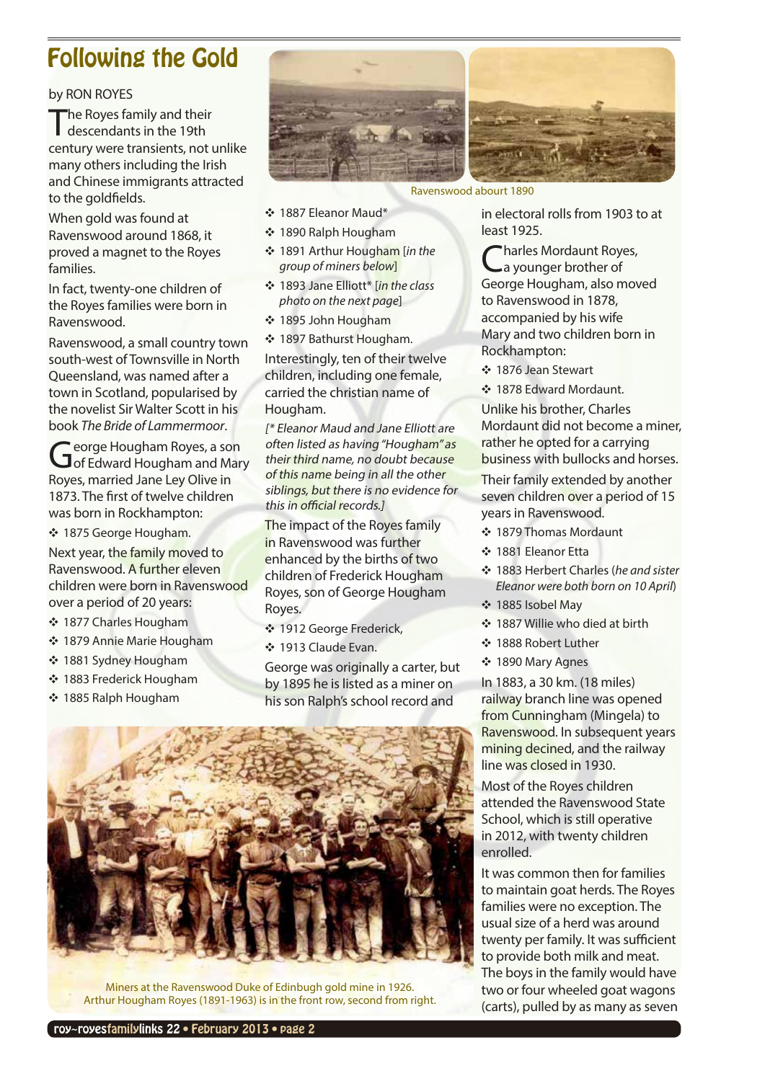# <span id="page-1-0"></span>Following the Gold

#### by RON ROYES

The Royes family and their descendants in the 19th century were transients, not unlike many others including the Irish and Chinese immigrants attracted to the goldfields.

When gold was found at Ravenswood around 1868, it proved a magnet to the Royes families.

In fact, twenty-one children of the Royes families were born in Ravenswood.

Ravenswood, a small country town south-west of Townsville in North Queensland, was named after a town in Scotland, popularised by the novelist Sir Walter Scott in his book *The Bride of Lammermoor*.

George Hougham Royes, a son<br> **G** of Edward Hougham and Mary Royes, married Jane Ley Olive in 1873. The first of twelve children was born in Rockhampton:

◆ 1875 George Hougham.

Next year, the family moved to Ravenswood. A further eleven children were born in Ravenswood over a period of 20 years:

- ◆ 1877 Charles Hougham
- Y 1879 Annie Marie Hougham
- Y 1881 Sydney Hougham
- Y 1883 Frederick Hougham
- Y 1885 Ralph Hougham



Ravenswood abourt 1890

Y 1887 Eleanor Maud\*

- Y 1890 Ralph Hougham
- Y 1891 Arthur Hougham [*in the group of miners below*]
- Y 1893 Jane Elliott\* [*in the class photo on the next page*]
- Y 1895 John Hougham
- ◆ 1897 Bathurst Hougham.

Interestingly, ten of their twelve children, including one female, carried the christian name of Hougham.

[\* Eleanor Maud and Jane Elliott are often listed as having "Hougham" as their third name, no doubt because of this name being in all the other siblings, but there is no evidence for this in official records.]

The impact of the Royes family in Ravenswood was further enhanced by the births of two children of Frederick Hougham Royes, son of George Hougham Royes.

- Y 1912 George Frederick,
- Y 1913 Claude Evan.

George was originally a carter, but by 1895 he is listed as a miner on his son Ralph's school record and

in electoral rolls from 1903 to at least 1925.

\*harles Mordaunt Royes, a younger brother of George Hougham, also moved to Ravenswood in 1878, accompanied by his wife Mary and two children born in Rockhampton:

Y 1876 Jean Stewart

❖ 1878 Edward Mordaunt

Unlike his brother, Charles Mordaunt did not become a miner, rather he opted for a carrying business with bullocks and horses.

Their family extended by another seven children over a period of 15 years in Ravenswood.

- ❖ 1879 Thomas Mordaunt
- Y 1881 Eleanor Etta
- Y 1883 Herbert Charles (*he and sister Eleanor were both born on 10 April*)
- Y 1885 Isobel May
- ◆ 1887 Willie who died at birth
- Y 1888 Robert Luther
- Y 1890 Mary Agnes

In 1883, a 30 km. (18 miles) railway branch line was opened from Cunningham (Mingela) to Ravenswood. In subsequent years mining decined, and the railway line was closed in 1930.

Most of the Royes children attended the Ravenswood State School, which is still operative in 2012, with twenty children enrolled.

It was common then for families to maintain goat herds. The Royes families were no exception. The usual size of a herd was around twenty per family. It was sufficient to provide both milk and meat. The boys in the family would have two or four wheeled goat wagons (carts), pulled by as many as seven



Miners at the Ravenswood Duke of Edinbugh gold mine in 1926. Arthur Hougham Royes (1891-1963) is in the front row, second from right.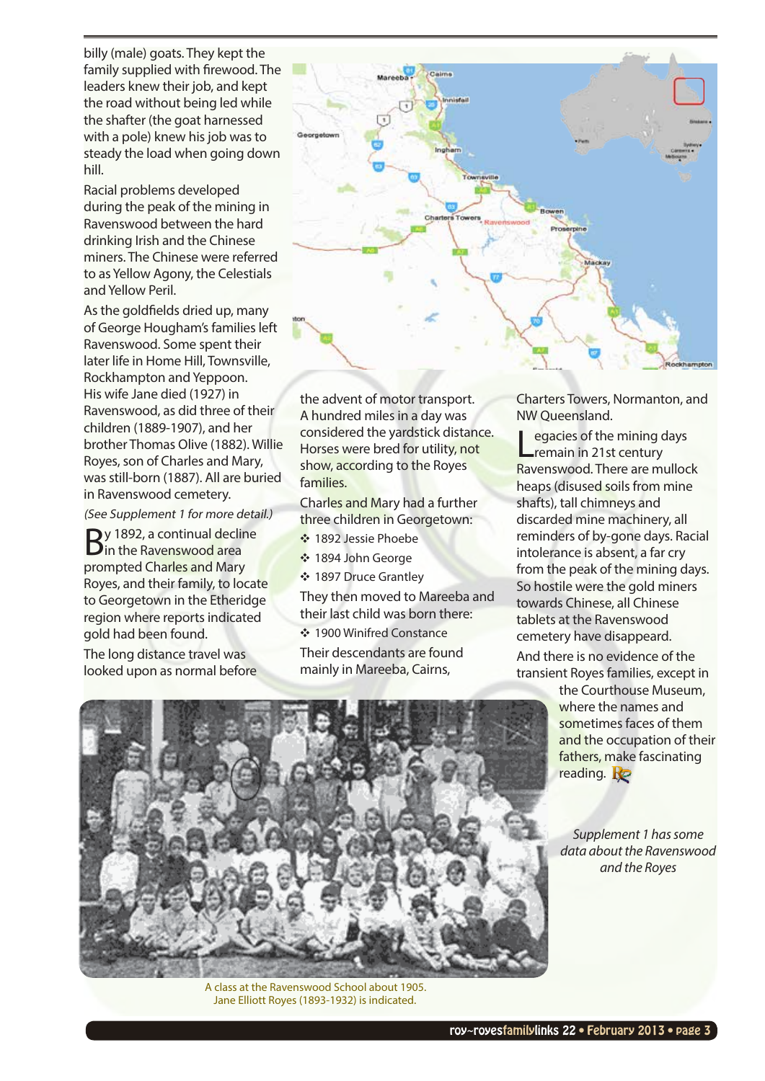billy (male) goats. They kept the family supplied with firewood. The leaders knew their job, and kept the road without being led while the shafter (the goat harnessed with a pole) knew his job was to steady the load when going down hill.

Racial problems developed during the peak of the mining in Ravenswood between the hard drinking Irish and the Chinese miners. The Chinese were referred to as Yellow Agony, the Celestials and Yellow Peril.

As the goldfields dried up, many of George Hougham's families left Ravenswood. Some spent their later life in Home Hill, Townsville, Rockhampton and Yeppoon. His wife Jane died (1927) in Ravenswood, as did three of their children (1889-1907), and her brother Thomas Olive (1882). Willie Royes, son of Charles and Mary, was still-born (1887). All are buried in Ravenswood cemetery.

(See Supplement 1 for more detail.)

By 1892, a continual decline<br>Bin the Ravenswood area prompted Charles and Mary Royes, and their family, to locate to Georgetown in the Etheridge region where reports indicated gold had been found.

The long distance travel was looked upon as normal before



the advent of motor transport. A hundred miles in a day was considered the yardstick distance. Horses were bred for utility, not show, according to the Royes families.

Charles and Mary had a further three children in Georgetown:

- ◆ 1892 Jessie Phoebe
- ❖ 1894 John George
- ❖ 1897 Druce Grantley

They then moved to Mareeba and their last child was born there:

❖ 1900 Winifred Constance Their descendants are found mainly in Mareeba, Cairns,

Charters Towers, Normanton, and NW Queensland.

egacies of the mining days remain in 21st century Ravenswood. There are mullock heaps (disused soils from mine shafts), tall chimneys and discarded mine machinery, all reminders of by-gone days. Racial intolerance is absent, a far cry from the peak of the mining days. So hostile were the gold miners towards Chinese, all Chinese tablets at the Ravenswood cemetery have disappeard.

And there is no evidence of the transient Royes families, except in

> the Courthouse Museum, where the names and sometimes faces of them and the occupation of their fathers, make fascinating reading.  $\mathbf{R}$

> *Supplement 1 has some data about the Ravenswood and the Royes*



A class at the Ravenswood School about 1905. Jane Elliott Royes (1893-1932) is indicated.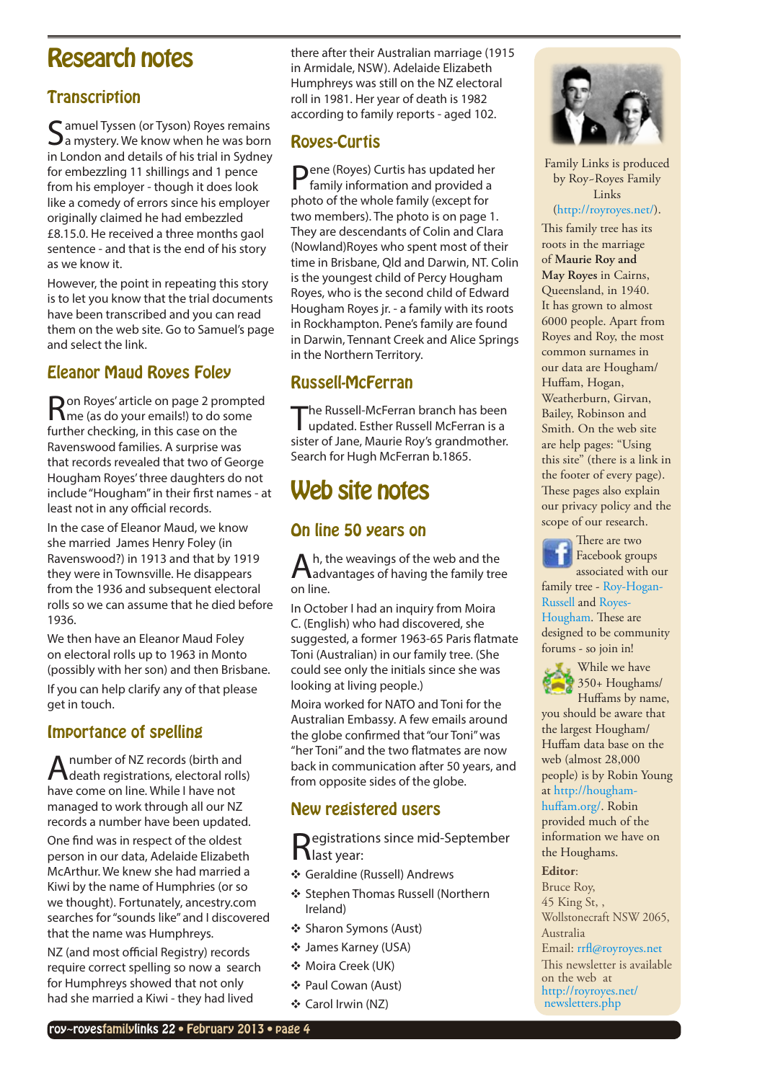# <span id="page-3-0"></span>Research notes

## **Transcription**

C amuel Tyssen (or Tyson) Royes remains  $\mathbf{\mathcal{S}}$ a mystery. We know when he was born in London and details of his trial in Sydney for embezzling 11 shillings and 1 pence from his employer - though it does look like a comedy of errors since his employer originally claimed he had embezzled £8.15.0. He received a three months gaol sentence - and that is the end of his story as we know it.

However, the point in repeating this story is to let you know that the trial documents have been transcribed and you can read them on the web site. Go to Samuel's page and select the link.

# Eleanor Maud Royes Foley

Ron Royes' article on page 2 prompted me (as do your emails!) to do some further checking, in this case on the Ravenswood families. A surprise was that records revealed that two of George Hougham Royes' three daughters do not include "Hougham" in their first names - at least not in any official records.

In the case of Eleanor Maud, we know she married James Henry Foley (in Ravenswood?) in 1913 and that by 1919 they were in Townsville. He disappears from the 1936 and subsequent electoral rolls so we can assume that he died before 1936.

We then have an Eleanor Maud Foley on electoral rolls up to 1963 in Monto (possibly with her son) and then Brisbane. If you can help clarify any of that please get in touch.

### Importance of spelling

A number of NZ records (birth and<br>death registrations, electoral rolls) have come on line. While I have not managed to work through all our NZ records a number have been updated.

One find was in respect of the oldest person in our data, Adelaide Elizabeth McArthur. We knew she had married a Kiwi by the name of Humphries (or so we thought). Fortunately,<ancestry.com> searches for "sounds like" and I discovered that the name was Humphreys.

NZ (and most official Registry) records require correct spelling so now a search for Humphreys showed that not only had she married a Kiwi - they had lived

there after their Australian marriage (1915 in Armidale, NSW). Adelaide Elizabeth Humphreys was still on the NZ electoral roll in 1981. Her year of death is 1982 according to family reports - aged 102.

## Royes-Curtis

Pene (Royes) Curtis has updated her family information and provided a photo of the whole family (except for two members). The photo is on page 1. They are descendants of Colin and Clara (Nowland)Royes who spent most of their time in Brisbane, Qld and Darwin, NT. Colin is the youngest child of Percy Hougham Royes, who is the second child of Edward Hougham Royes jr. - a family with its roots in Rockhampton. Pene's family are found in Darwin, Tennant Creek and Alice Springs in the Northern Territory.

## Russell-McFerran

The Russell-McFerran branch has been updated. Esther Russell McFerran is a sister of Jane, Maurie Roy's grandmother. Search for Hugh McFerran b.1865.

# Web site notes

# On line 50 years on

Ah, the weavings of the web and the<br>
Madvantages of having the family tree on line.

In October I had an inquiry from Moira C. (English) who had discovered, she suggested, a former 1963-65 Paris flatmate Toni (Australian) in our family tree. (She could see only the initials since she was looking at living people.)

Moira worked for NATO and Toni for the Australian Embassy. A few emails around the globe confirmed that "our Toni" was "her Toni" and the two flatmates are now back in communication after 50 years, and from opposite sides of the globe.

### New registered users

Registrations since mid-September last year:

- Y Geraldine (Russell) Andrews
- ❖ Stephen Thomas Russell (Northern Ireland)
- ❖ Sharon Symons (Aust)
- Y James Karney (USA)
- Y Moira Creek (UK)
- ❖ Paul Cowan (Aust)
- ❖ Carol Irwin (NZ)



Family Links is produced by Roy~Royes Family Links

#### ([http://royroyes.net/\)](http://royroyes.net/index.php).

This family tree has its roots in the marriage of **[Maurie Roy and](http://royroyes.net/genealogy/familygroup.php?familyID=F3&tree=rr_tree)  [May Royes](http://royroyes.net/genealogy/familygroup.php?familyID=F3&tree=rr_tree)** in Cairns, Queensland, in 1940. It has grown to almost 6000 people. Apart from Royes and Roy, the most common surnames in our data are Hougham/ Huffam, Hogan, Weatherburn, Girvan, Bailey, Robinson and Smith. On the web site are help pages: "Using this site" (there is a link in the footer of every page). These pages also explain our privacy policy and the scope of our research.



There are two Facebook groups associated with our

family tree - [Roy-Hogan-](http://www.facebook.com/group.php?gid=307420077911)[Russell](http://www.facebook.com/group.php?gid=307420077911) and [Royes-](http://www.facebook.com/group.php?gid=308976683590)[Hougham.](http://www.facebook.com/group.php?gid=308976683590) These are designed to be community forums - so join in!



While we have 350+ Houghams/ Huffams by name,

you should be aware that the largest Hougham/ Huffam data base on the web (almost 28,000 people) is by Robin Young at [http://hougham-](http://hougham-huffam.org/)

[huffam.org/.](http://hougham-huffam.org/) Robin provided much of the information we have on the Houghams.

#### **Editor**:

Bruce Roy, 45 King St, , Wollstonecraft NSW 2065, Australia

Email: [rrfl@royroyes.net](mailto:rrfl@royroyes.net)

This newsletter is available on the web at [http://royroyes.net/](http://royroyes.net/newsletters.php) [newsletters.php](http://royroyes.net/newsletters.php)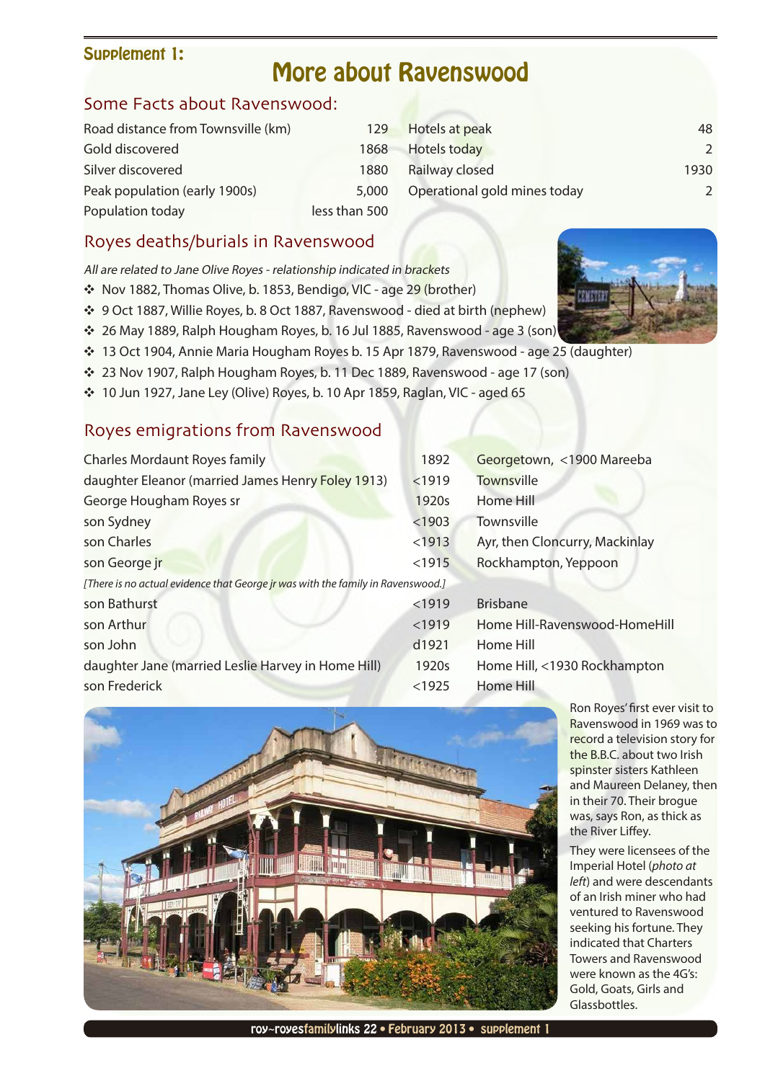#### <span id="page-4-0"></span>Supplement 1:

# More about Ravenswood

## Some Facts about Ravenswood:

| Road distance from Townsville (km) | 129           | Hotels at peak               | 48             |
|------------------------------------|---------------|------------------------------|----------------|
| Gold discovered                    | 1868          | <b>Hotels today</b>          | $\overline{2}$ |
| Silver discovered                  | 1880          | Railway closed               | 1930           |
| Peak population (early 1900s)      | 5,000         | Operational gold mines today | $\overline{2}$ |
| Population today                   | less than 500 |                              |                |

## Royes deaths/burials in Ravenswood

All are related to Jane Olive Royes - relationship indicated in brackets

- ◆ Nov 1882, Thomas Olive, b. 1853, Bendigo, VIC age 29 (brother)
- Y 9 Oct 1887, Willie Royes, b. 8 Oct 1887, Ravenswood died at birth (nephew)
- Y 26 May 1889, Ralph Hougham Royes, b. 16 Jul 1885, Ravenswood age 3 (son)
- \* 13 Oct 1904, Annie Maria Hougham Royes b. 15 Apr 1879, Ravenswood age 25 (daughter)
- Y 23 Nov 1907, Ralph Hougham Royes, b. 11 Dec 1889, Ravenswood age 17 (son)
- \* 10 Jun 1927, Jane Ley (Olive) Royes, b. 10 Apr 1859, Raglan, VIC aged 65

### Royes emigrations from Ravenswood

| <b>Charles Mordaunt Royes family</b>                                            | 1892   | Georgetown, <1900 Mareeba      |  |  |  |
|---------------------------------------------------------------------------------|--------|--------------------------------|--|--|--|
| daughter Eleanor (married James Henry Foley 1913)                               | < 1919 | <b>Townsville</b>              |  |  |  |
| George Hougham Royes sr                                                         | 1920s  | Home Hill                      |  |  |  |
| son Sydney                                                                      | < 1903 | Townsville                     |  |  |  |
| son Charles                                                                     | $1913$ | Ayr, then Cloncurry, Mackinlay |  |  |  |
| son George jr                                                                   | $1915$ | Rockhampton, Yeppoon           |  |  |  |
| [There is no actual evidence that George jr was with the family in Ravenswood.] |        |                                |  |  |  |
| son Bathurst                                                                    | $1919$ | <b>Brisbane</b>                |  |  |  |
| son Arthur                                                                      | < 1919 | Home Hill-Ravenswood-HomeHill  |  |  |  |
| son John                                                                        | d1921  | <b>Home Hill</b>               |  |  |  |
| daughter Jane (married Leslie Harvey in Home Hill)                              | 1920s  | Home Hill, <1930 Rockhampton   |  |  |  |
| son Frederick                                                                   | < 1925 | <b>Home Hill</b>               |  |  |  |



Ron Royes' first ever visit to Ravenswood in 1969 was to record a television story for the B.B.C. about two Irish spinster sisters Kathleen and Maureen Delaney, then in their 70. Their brogue was, says Ron, as thick as the River Liffey.

They were licensees of the Imperial Hotel (*photo at left*) and were descendants of an Irish miner who had ventured to Ravenswood seeking his fortune. They indicated that Charters Towers and Ravenswood were known as the 4G's: Gold, Goats, Girls and Glassbottles.



roy~royesfamilylinks 22 • February 2013 • supplement 1